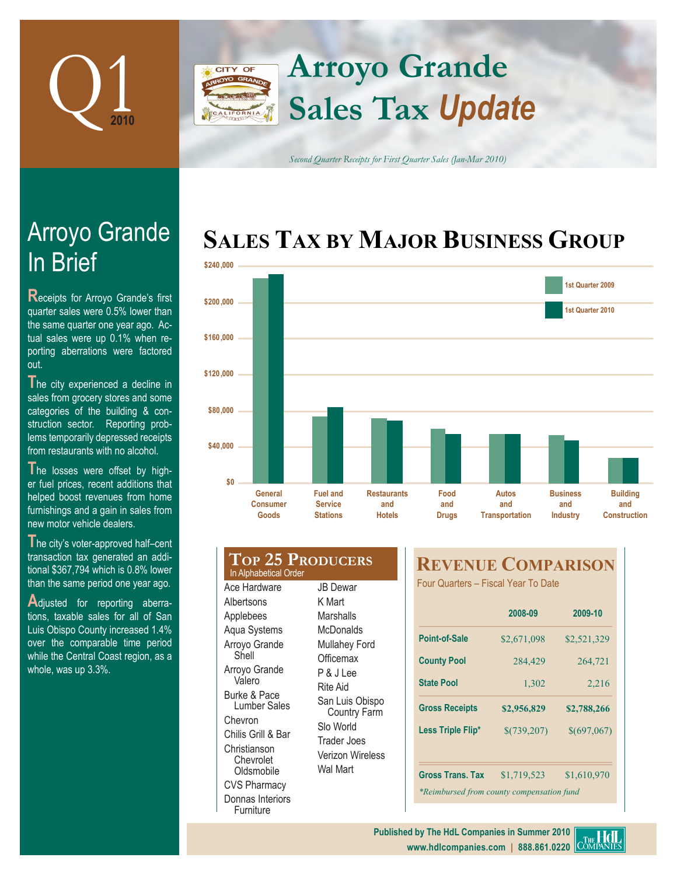

### **Arroyo Grande CITY OF Sales Tax** *Update* FORNIA

*Second Quarter Receipts for First Quarter Sales (Jan-Mar 2010)*

## **SALES TAX BY MAJOR BUSINESS GROUP**



| General<br><b>Consumer</b><br><b>Goods</b>       | <b>Fuel and</b><br><b>Service</b><br><b>Stations</b> | <b>Restaurants</b><br>and<br>Hotels | Food<br>and<br><b>Drugs</b> |
|--------------------------------------------------|------------------------------------------------------|-------------------------------------|-----------------------------|
| <b>TOP 25 PRODUCERS</b><br>In Alphabetical Order |                                                      |                                     | <b>REVI</b>                 |
| Ace Hardware                                     | <b>JB</b> Dewar                                      |                                     | <b>Four Quar</b>            |
| Albertsons                                       | K Mart                                               |                                     |                             |
| Applebees                                        | Marshalls                                            |                                     |                             |
| Aqua Systems                                     | <b>McDonalds</b>                                     |                                     |                             |
| Arroyo Grande                                    | <b>Mullahey Ford</b>                                 |                                     | Point-of-S                  |
| Shell                                            | Officemax                                            |                                     | <b>County Po</b>            |
| Arroyo Grande                                    | P & J Lee                                            |                                     |                             |
| Valero                                           | Rite Aid                                             |                                     | <b>State Pool</b>           |
| Burke & Pace<br>Lumber Sales                     | San Luis Obispo<br><b>Country Farm</b>               |                                     | <b>Gross Red</b>            |

Slo World Trader Joes Verizon Wireless Wal Mart

Chevron Chilis Grill & Bar Christianson Chevrolet **Oldsmobile** CVS Pharmacy Donnas Interiors Furniture

## **REVENUE COMPARISON**

rters – Fiscal Year To Date

| 2008-09                                   | 2009-10     |  |  |  |  |
|-------------------------------------------|-------------|--|--|--|--|
| \$2,671,098                               | \$2,521,329 |  |  |  |  |
| 284,429                                   | 264,721     |  |  |  |  |
| 1,302                                     | 2,216       |  |  |  |  |
| \$2,956,829                               | \$2,788,266 |  |  |  |  |
| \$(739,207)                               | \$(697,067) |  |  |  |  |
| \$1,719,523                               | \$1,610,970 |  |  |  |  |
| *Reimbursed from county compensation fund |             |  |  |  |  |
|                                           |             |  |  |  |  |

# In Brief Arroyo Grande

**Receipts for Arroyo Grande's first** quarter sales were 0.5% lower than the same quarter one year ago. Actual sales were up 0.1% when reporting aberrations were factored out.

The city experienced a decline in sales from grocery stores and some categories of the building & construction sector. Reporting problems temporarily depressed receipts from restaurants with no alcohol.

**T**he losses were offset by higher fuel prices, recent additions that helped boost revenues from home furnishings and a gain in sales from new motor vehicle dealers.

**T**he city's voter-approved half–cent transaction tax generated an additional \$367,794 which is 0.8% lower than the same period one year ago.

Adjusted for reporting aberrations, taxable sales for all of San Luis Obispo County increased 1.4% over the comparable time period while the Central Coast region, as a whole, was up 3.3%.

> **www.hdlcompanies.com | 888.861.0220 Published by The HdL Companies in Summer 2010**